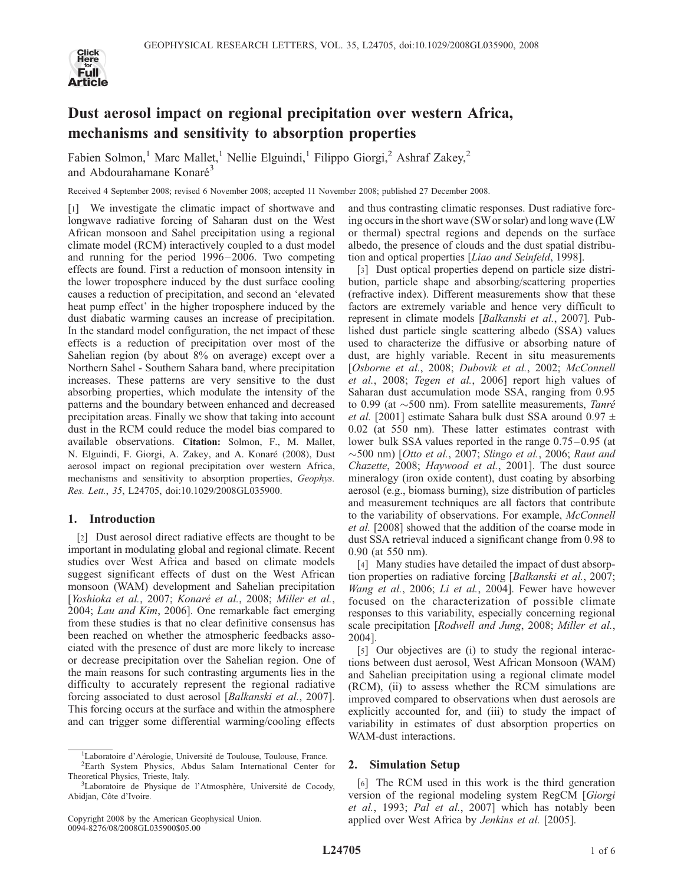

# Dust aerosol impact on regional precipitation over western Africa, mechanisms and sensitivity to absorption properties

Fabien Solmon,<sup>1</sup> Marc Mallet,<sup>1</sup> Nellie Elguindi,<sup>1</sup> Filippo Giorgi,<sup>2</sup> Ashraf Zakey,<sup>2</sup> and Abdourahamane Konaré<sup>3</sup>

Received 4 September 2008; revised 6 November 2008; accepted 11 November 2008; published 27 December 2008.

[1] We investigate the climatic impact of shortwave and longwave radiative forcing of Saharan dust on the West African monsoon and Sahel precipitation using a regional climate model (RCM) interactively coupled to a dust model and running for the period 1996 – 2006. Two competing effects are found. First a reduction of monsoon intensity in the lower troposphere induced by the dust surface cooling causes a reduction of precipitation, and second an 'elevated heat pump effect' in the higher troposphere induced by the dust diabatic warming causes an increase of precipitation. In the standard model configuration, the net impact of these effects is a reduction of precipitation over most of the Sahelian region (by about 8% on average) except over a Northern Sahel - Southern Sahara band, where precipitation increases. These patterns are very sensitive to the dust absorbing properties, which modulate the intensity of the patterns and the boundary between enhanced and decreased precipitation areas. Finally we show that taking into account dust in the RCM could reduce the model bias compared to available observations. Citation: Solmon, F., M. Mallet, N. Elguindi, F. Giorgi, A. Zakey, and A. Konaré (2008), Dust aerosol impact on regional precipitation over western Africa, mechanisms and sensitivity to absorption properties, Geophys. Res. Lett., 35, L24705, doi:10.1029/2008GL035900.

## 1. Introduction

[2] Dust aerosol direct radiative effects are thought to be important in modulating global and regional climate. Recent studies over West Africa and based on climate models suggest significant effects of dust on the West African monsoon (WAM) development and Sahelian precipitation [Yoshioka et al., 2007; Konaré et al., 2008; Miller et al., 2004; Lau and Kim, 2006]. One remarkable fact emerging from these studies is that no clear definitive consensus has been reached on whether the atmospheric feedbacks associated with the presence of dust are more likely to increase or decrease precipitation over the Sahelian region. One of the main reasons for such contrasting arguments lies in the difficulty to accurately represent the regional radiative forcing associated to dust aerosol [Balkanski et al., 2007]. This forcing occurs at the surface and within the atmosphere and can trigger some differential warming/cooling effects

and thus contrasting climatic responses. Dust radiative forcing occurs in the short wave (SW or solar) and long wave (LW or thermal) spectral regions and depends on the surface albedo, the presence of clouds and the dust spatial distribution and optical properties [Liao and Seinfeld, 1998].

[3] Dust optical properties depend on particle size distribution, particle shape and absorbing/scattering properties (refractive index). Different measurements show that these factors are extremely variable and hence very difficult to represent in climate models [Balkanski et al., 2007]. Published dust particle single scattering albedo (SSA) values used to characterize the diffusive or absorbing nature of dust, are highly variable. Recent in situ measurements [Osborne et al., 2008; Dubovik et al., 2002; McConnell et al., 2008; Tegen et al., 2006] report high values of Saharan dust accumulation mode SSA, ranging from 0.95 to 0.99 (at  $\sim$ 500 nm). From satellite measurements, Tanré et al. [2001] estimate Sahara bulk dust SSA around  $0.97 \pm$ 0.02 (at 550 nm). These latter estimates contrast with lower bulk SSA values reported in the range  $0.75-0.95$  (at  $\sim$ 500 nm) [Otto et al., 2007; Slingo et al., 2006; Raut and Chazette, 2008; Haywood et al., 2001]. The dust source mineralogy (iron oxide content), dust coating by absorbing aerosol (e.g., biomass burning), size distribution of particles and measurement techniques are all factors that contribute to the variability of observations. For example, McConnell et al. [2008] showed that the addition of the coarse mode in dust SSA retrieval induced a significant change from 0.98 to 0.90 (at 550 nm).

[4] Many studies have detailed the impact of dust absorption properties on radiative forcing [Balkanski et al., 2007; Wang et al., 2006; Li et al., 2004]. Fewer have however focused on the characterization of possible climate responses to this variability, especially concerning regional scale precipitation [Rodwell and Jung, 2008; Miller et al., 2004].

[5] Our objectives are (i) to study the regional interactions between dust aerosol, West African Monsoon (WAM) and Sahelian precipitation using a regional climate model (RCM), (ii) to assess whether the RCM simulations are improved compared to observations when dust aerosols are explicitly accounted for, and (iii) to study the impact of variability in estimates of dust absorption properties on WAM-dust interactions.

## 2. Simulation Setup

[6] The RCM used in this work is the third generation version of the regional modeling system RegCM [Giorgi et al., 1993; Pal et al., 2007] which has notably been applied over West Africa by Jenkins et al. [2005].

<sup>&</sup>lt;sup>1</sup>Laboratoire d'Aérologie, Université de Toulouse, Toulouse, France.<br><sup>2</sup>Eorth, System, Physics Abdus, Solam, International, Conter, f

<sup>&</sup>lt;sup>2</sup>Earth System Physics, Abdus Salam International Center for Theoretical Physics, Trieste, Italy. <sup>3</sup>

<sup>&</sup>lt;sup>3</sup>Laboratoire de Physique de l'Atmosphère, Université de Cocody, Abidjan, Côte d'Ivoire.

Copyright 2008 by the American Geophysical Union. 0094-8276/08/2008GL035900\$05.00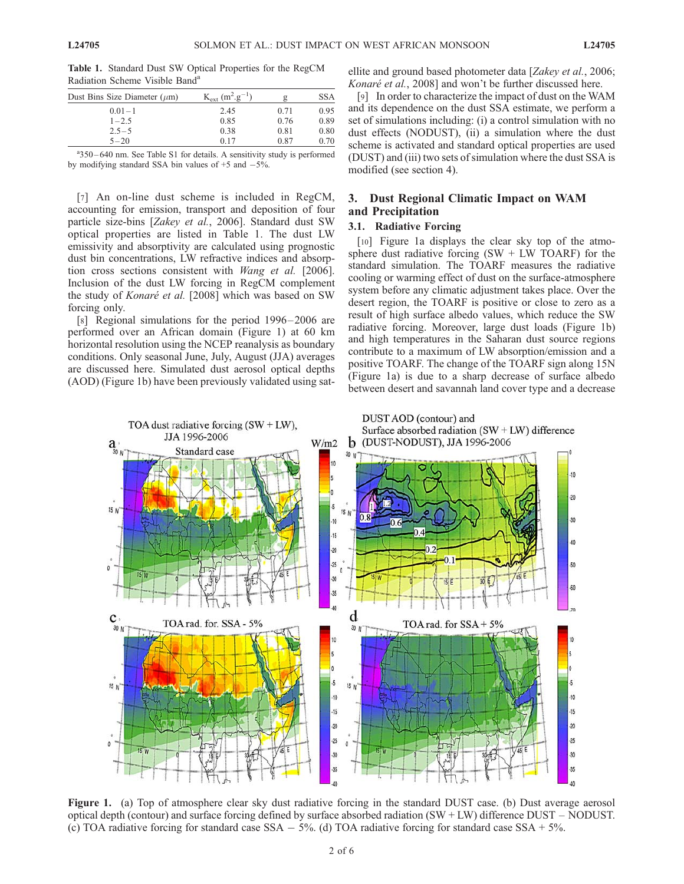Table 1. Standard Dust SW Optical Properties for the RegCM Radiation Scheme Visible Band<sup>a</sup>

| Dust Bins Size Diameter $(\mu m)$ | $K_{ext}$ (m <sup>2</sup> .g <sup>-1</sup> ) |      | <b>SSA</b> |
|-----------------------------------|----------------------------------------------|------|------------|
| $0.01 - 1$                        | 2.45                                         | 0.71 | 0.95       |
| $1 - 2.5$                         | 0.85                                         | 0.76 | 0.89       |
| $2.5 - 5$                         | 0.38                                         | 0.81 | 0.80       |
| $5 - 20$                          | 0.17                                         | 0.87 | 0.70       |

a<sup>3</sup>350 – 640 nm. See Table S1 for details. A sensitivity study is performed by modifying standard SSA bin values of  $+5$  and  $-5\%$ .

[7] An on-line dust scheme is included in RegCM, accounting for emission, transport and deposition of four particle size-bins [Zakey et al., 2006]. Standard dust SW optical properties are listed in Table 1. The dust LW emissivity and absorptivity are calculated using prognostic dust bin concentrations, LW refractive indices and absorption cross sections consistent with Wang et al. [2006]. Inclusion of the dust LW forcing in RegCM complement the study of Konaré et al. [2008] which was based on SW forcing only.

[8] Regional simulations for the period 1996–2006 are performed over an African domain (Figure 1) at 60 km horizontal resolution using the NCEP reanalysis as boundary conditions. Only seasonal June, July, August (JJA) averages are discussed here. Simulated dust aerosol optical depths (AOD) (Figure 1b) have been previously validated using satellite and ground based photometer data [Zakey et al., 2006; Konaré et al., 2008] and won't be further discussed here.

[9] In order to characterize the impact of dust on the WAM and its dependence on the dust SSA estimate, we perform a set of simulations including: (i) a control simulation with no dust effects (NODUST), (ii) a simulation where the dust scheme is activated and standard optical properties are used (DUST) and (iii) two sets of simulation where the dust SSA is modified (see section 4).

# 3. Dust Regional Climatic Impact on WAM and Precipitation

#### 3.1. Radiative Forcing

[10] Figure 1a displays the clear sky top of the atmosphere dust radiative forcing  $(SW + LW TOARF)$  for the standard simulation. The TOARF measures the radiative cooling or warming effect of dust on the surface-atmosphere system before any climatic adjustment takes place. Over the desert region, the TOARF is positive or close to zero as a result of high surface albedo values, which reduce the SW radiative forcing. Moreover, large dust loads (Figure 1b) and high temperatures in the Saharan dust source regions contribute to a maximum of LW absorption/emission and a positive TOARF. The change of the TOARF sign along 15N (Figure 1a) is due to a sharp decrease of surface albedo between desert and savannah land cover type and a decrease



Figure 1. (a) Top of atmosphere clear sky dust radiative forcing in the standard DUST case. (b) Dust average aerosol optical depth (contour) and surface forcing defined by surface absorbed radiation (SW + LW) difference DUST – NODUST. (c) TOA radiative forcing for standard case  $SSA - 5%$ . (d) TOA radiative forcing for standard case  $SSA + 5%$ .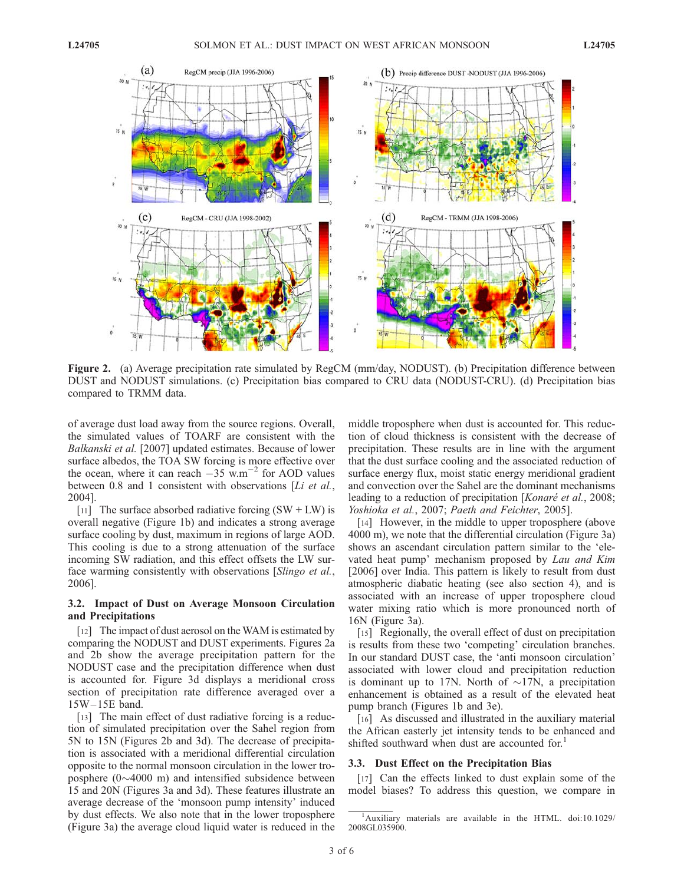

Figure 2. (a) Average precipitation rate simulated by RegCM (mm/day, NODUST). (b) Precipitation difference between DUST and NODUST simulations. (c) Precipitation bias compared to CRU data (NODUST-CRU). (d) Precipitation bias compared to TRMM data.

of average dust load away from the source regions. Overall, the simulated values of TOARF are consistent with the Balkanski et al. [2007] updated estimates. Because of lower surface albedos, the TOA SW forcing is more effective over the ocean, where it can reach  $-35$  w.m<sup>-2</sup> for AOD values between 0.8 and 1 consistent with observations [Li et al., 2004].

[11] The surface absorbed radiative forcing  $(SW + LW)$  is overall negative (Figure 1b) and indicates a strong average surface cooling by dust, maximum in regions of large AOD. This cooling is due to a strong attenuation of the surface incoming SW radiation, and this effect offsets the LW surface warming consistently with observations [Slingo et al., 2006].

#### 3.2. Impact of Dust on Average Monsoon Circulation and Precipitations

[12] The impact of dust aerosol on the WAM is estimated by comparing the NODUST and DUST experiments. Figures 2a and 2b show the average precipitation pattern for the NODUST case and the precipitation difference when dust is accounted for. Figure 3d displays a meridional cross section of precipitation rate difference averaged over a 15W – 15E band.

[13] The main effect of dust radiative forcing is a reduction of simulated precipitation over the Sahel region from 5N to 15N (Figures 2b and 3d). The decrease of precipitation is associated with a meridional differential circulation opposite to the normal monsoon circulation in the lower troposphere  $(0\sim4000 \text{ m})$  and intensified subsidence between 15 and 20N (Figures 3a and 3d). These features illustrate an average decrease of the 'monsoon pump intensity' induced by dust effects. We also note that in the lower troposphere (Figure 3a) the average cloud liquid water is reduced in the

middle troposphere when dust is accounted for. This reduction of cloud thickness is consistent with the decrease of precipitation. These results are in line with the argument that the dust surface cooling and the associated reduction of surface energy flux, moist static energy meridional gradient and convection over the Sahel are the dominant mechanisms leading to a reduction of precipitation [Konaré et al., 2008; Yoshioka et al., 2007; Paeth and Feichter, 2005].

[14] However, in the middle to upper troposphere (above 4000 m), we note that the differential circulation (Figure 3a) shows an ascendant circulation pattern similar to the 'elevated heat pump' mechanism proposed by Lau and Kim [2006] over India. This pattern is likely to result from dust atmospheric diabatic heating (see also section 4), and is associated with an increase of upper troposphere cloud water mixing ratio which is more pronounced north of 16N (Figure 3a).

[15] Regionally, the overall effect of dust on precipitation is results from these two 'competing' circulation branches. In our standard DUST case, the 'anti monsoon circulation' associated with lower cloud and precipitation reduction is dominant up to 17N. North of  $\sim$ 17N, a precipitation enhancement is obtained as a result of the elevated heat pump branch (Figures 1b and 3e).

[16] As discussed and illustrated in the auxiliary material the African easterly jet intensity tends to be enhanced and shifted southward when dust are accounted for.<sup>1</sup>

#### 3.3. Dust Effect on the Precipitation Bias

[17] Can the effects linked to dust explain some of the model biases? To address this question, we compare in

<sup>&</sup>lt;sup>1</sup>Auxiliary materials are available in the HTML. doi:10.1029/ 2008GL035900.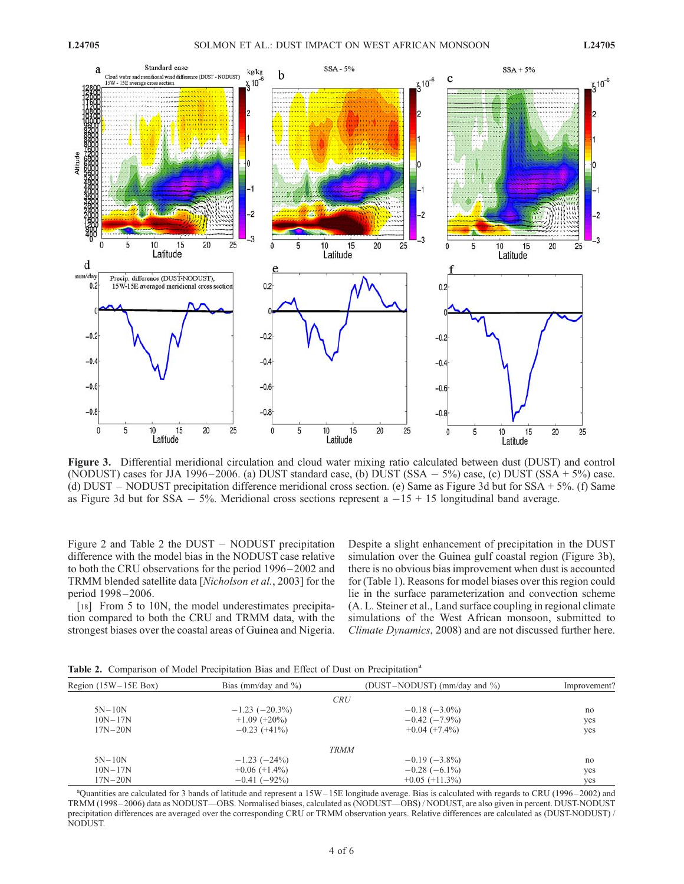

Figure 3. Differential meridional circulation and cloud water mixing ratio calculated between dust (DUST) and control (NODUST) cases for JJA 1996–2006. (a) DUST standard case, (b) DUST (SSA  $-5\%$ ) case, (c) DUST (SSA + 5%) case. (d) DUST – NODUST precipitation difference meridional cross section. (e) Same as Figure 3d but for SSA + 5%. (f) Same as Figure 3d but for  $SSA - 5%$ . Meridional cross sections represent  $a -15 + 15$  longitudinal band average.

Figure 2 and Table 2 the DUST – NODUST precipitation difference with the model bias in the NODUST case relative to both the CRU observations for the period 1996 – 2002 and TRMM blended satellite data [Nicholson et al., 2003] for the period 1998-2006.

[18] From 5 to 10N, the model underestimates precipitation compared to both the CRU and TRMM data, with the strongest biases over the coastal areas of Guinea and Nigeria. Despite a slight enhancement of precipitation in the DUST simulation over the Guinea gulf coastal region (Figure 3b), there is no obvious bias improvement when dust is accounted for (Table 1). Reasons for model biases over this region could lie in the surface parameterization and convection scheme (A. L. Steiner et al., Land surface coupling in regional climate simulations of the West African monsoon, submitted to Climate Dynamics, 2008) and are not discussed further here.

Table 2. Comparison of Model Precipitation Bias and Effect of Dust on Precipitation<sup>a</sup>

| Bias (mm/day and $\%$ ) | (DUST-NODUST) (mm/day and %) | Improvement?              |
|-------------------------|------------------------------|---------------------------|
|                         |                              |                           |
| $-1.23(-20.3\%)$        | $-0.18$ ( $-3.0\%$ )         | no                        |
| $+1.09$ (+20%)          | $-0.42$ ( $-7.9\%$ )         | yes                       |
| $-0.23(+41\%)$          | $+0.04 (+7.4\%)$             | yes                       |
|                         |                              |                           |
| $-1.23$ ( $-24\%$ )     | $-0.19$ ( $-3.8\%$ )         | no                        |
| $+0.06 (+1.4\%)$        | $-0.28$ ( $-6.1\%$ )         | yes                       |
| $-0.41$ ( $-92\%$ )     | $+0.05 (+11.3\%)$            | yes                       |
|                         |                              | <b>CRU</b><br><b>TRMM</b> |

<sup>a</sup>Quantities are calculated for 3 bands of latitude and represent a 15W-15E longitude average. Bias is calculated with regards to CRU (1996-2002) and TRMM (1998 – 2006) data as NODUST—OBS. Normalised biases, calculated as (NODUST—OBS) / NODUST, are also given in percent. DUST-NODUST precipitation differences are averaged over the corresponding CRU or TRMM observation years. Relative differences are calculated as (DUST-NODUST) / NODUST.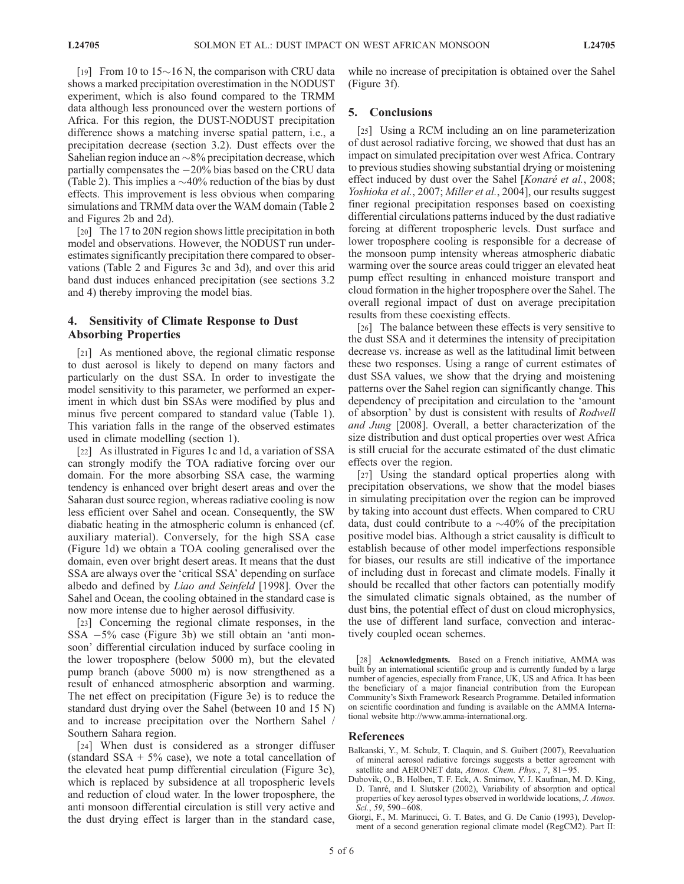[19] From 10 to 15 $\sim$ 16 N, the comparison with CRU data shows a marked precipitation overestimation in the NODUST experiment, which is also found compared to the TRMM data although less pronounced over the western portions of Africa. For this region, the DUST-NODUST precipitation difference shows a matching inverse spatial pattern, i.e., a precipitation decrease (section 3.2). Dust effects over the Sahelian region induce an  $\sim 8\%$  precipitation decrease, which partially compensates the -20% bias based on the CRU data (Table 2). This implies a  $\sim$  40% reduction of the bias by dust effects. This improvement is less obvious when comparing simulations and TRMM data over the WAM domain (Table 2 and Figures 2b and 2d).

[20] The 17 to 20N region shows little precipitation in both model and observations. However, the NODUST run underestimates significantly precipitation there compared to observations (Table 2 and Figures 3c and 3d), and over this arid band dust induces enhanced precipitation (see sections 3.2 and 4) thereby improving the model bias.

## 4. Sensitivity of Climate Response to Dust Absorbing Properties

[21] As mentioned above, the regional climatic response to dust aerosol is likely to depend on many factors and particularly on the dust SSA. In order to investigate the model sensitivity to this parameter, we performed an experiment in which dust bin SSAs were modified by plus and minus five percent compared to standard value (Table 1). This variation falls in the range of the observed estimates used in climate modelling (section 1).

[22] As illustrated in Figures 1c and 1d, a variation of SSA can strongly modify the TOA radiative forcing over our domain. For the more absorbing SSA case, the warming tendency is enhanced over bright desert areas and over the Saharan dust source region, whereas radiative cooling is now less efficient over Sahel and ocean. Consequently, the SW diabatic heating in the atmospheric column is enhanced (cf. auxiliary material). Conversely, for the high SSA case (Figure 1d) we obtain a TOA cooling generalised over the domain, even over bright desert areas. It means that the dust SSA are always over the 'critical SSA' depending on surface albedo and defined by Liao and Seinfeld [1998]. Over the Sahel and Ocean, the cooling obtained in the standard case is now more intense due to higher aerosol diffusivity.

[23] Concerning the regional climate responses, in the SSA -5% case (Figure 3b) we still obtain an 'anti monsoon' differential circulation induced by surface cooling in the lower troposphere (below 5000 m), but the elevated pump branch (above 5000 m) is now strengthened as a result of enhanced atmospheric absorption and warming. The net effect on precipitation (Figure 3e) is to reduce the standard dust drying over the Sahel (between 10 and 15 N) and to increase precipitation over the Northern Sahel / Southern Sahara region.

[24] When dust is considered as a stronger diffuser (standard SSA  $+5\%$  case), we note a total cancellation of the elevated heat pump differential circulation (Figure 3c), which is replaced by subsidence at all tropospheric levels and reduction of cloud water. In the lower troposphere, the anti monsoon differential circulation is still very active and the dust drying effect is larger than in the standard case,

while no increase of precipitation is obtained over the Sahel (Figure 3f).

#### 5. Conclusions

[25] Using a RCM including an on line parameterization of dust aerosol radiative forcing, we showed that dust has an impact on simulated precipitation over west Africa. Contrary to previous studies showing substantial drying or moistening effect induced by dust over the Sahel [*Konaré et al.*, 2008; Yoshioka et al., 2007; Miller et al., 2004], our results suggest finer regional precipitation responses based on coexisting differential circulations patterns induced by the dust radiative forcing at different tropospheric levels. Dust surface and lower troposphere cooling is responsible for a decrease of the monsoon pump intensity whereas atmospheric diabatic warming over the source areas could trigger an elevated heat pump effect resulting in enhanced moisture transport and cloud formation in the higher troposphere over the Sahel. The overall regional impact of dust on average precipitation results from these coexisting effects.

[26] The balance between these effects is very sensitive to the dust SSA and it determines the intensity of precipitation decrease vs. increase as well as the latitudinal limit between these two responses. Using a range of current estimates of dust SSA values, we show that the drying and moistening patterns over the Sahel region can significantly change. This dependency of precipitation and circulation to the 'amount of absorption' by dust is consistent with results of Rodwell and Jung [2008]. Overall, a better characterization of the size distribution and dust optical properties over west Africa is still crucial for the accurate estimated of the dust climatic effects over the region.

[27] Using the standard optical properties along with precipitation observations, we show that the model biases in simulating precipitation over the region can be improved by taking into account dust effects. When compared to CRU data, dust could contribute to a  $\sim$ 40% of the precipitation positive model bias. Although a strict causality is difficult to establish because of other model imperfections responsible for biases, our results are still indicative of the importance of including dust in forecast and climate models. Finally it should be recalled that other factors can potentially modify the simulated climatic signals obtained, as the number of dust bins, the potential effect of dust on cloud microphysics, the use of different land surface, convection and interactively coupled ocean schemes.

[28] **Acknowledgments.** Based on a French initiative, AMMA was built by an international scientific group and is currently funded by a large number of agencies, especially from France, UK, US and Africa. It has been the beneficiary of a major financial contribution from the European Community's Sixth Framework Research Programme. Detailed information on scientific coordination and funding is available on the AMMA International website http://www.amma-international.org.

#### References

- Balkanski, Y., M. Schulz, T. Claquin, and S. Guibert (2007), Reevaluation of mineral aerosol radiative forcings suggests a better agreement with satellite and AERONET data, Atmos. Chem. Phys., 7, 81-95.
- Dubovik, O., B. Holben, T. F. Eck, A. Smirnov, Y. J. Kaufman, M. D. King, D. Tanré, and I. Slutsker (2002), Variability of absorption and optical properties of key aerosol types observed in worldwide locations, J. Atmos. Sci., 59, 590-608.
- Giorgi, F., M. Marinucci, G. T. Bates, and G. De Canio (1993), Development of a second generation regional climate model (RegCM2). Part II: